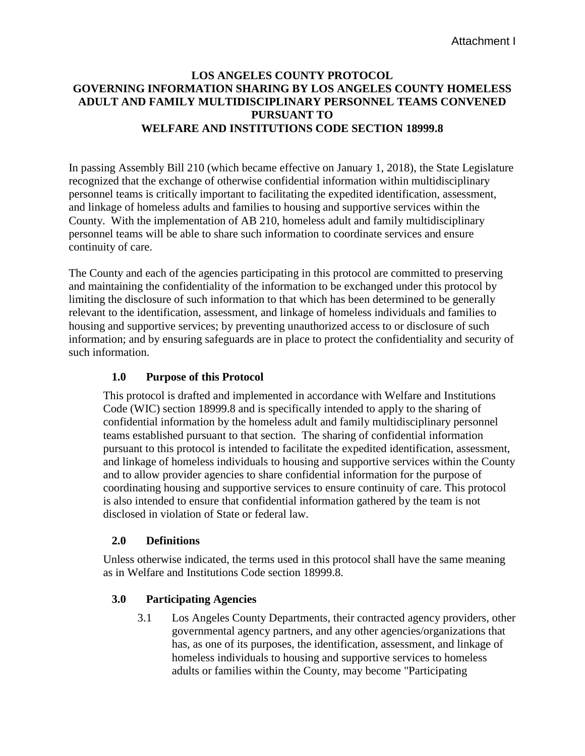# **LOS ANGELES COUNTY PROTOCOL GOVERNING INFORMATION SHARING BY LOS ANGELES COUNTY HOMELESS ADULT AND FAMILY MULTIDISCIPLINARY PERSONNEL TEAMS CONVENED PURSUANT TO WELFARE AND INSTITUTIONS CODE SECTION 18999.8**

In passing Assembly Bill 210 (which became effective on January 1, 2018), the State Legislature recognized that the exchange of otherwise confidential information within multidisciplinary personnel teams is critically important to facilitating the expedited identification, assessment, and linkage of homeless adults and families to housing and supportive services within the County. With the implementation of AB 210, homeless adult and family multidisciplinary personnel teams will be able to share such information to coordinate services and ensure continuity of care.

The County and each of the agencies participating in this protocol are committed to preserving and maintaining the confidentiality of the information to be exchanged under this protocol by limiting the disclosure of such information to that which has been determined to be generally relevant to the identification, assessment, and linkage of homeless individuals and families to housing and supportive services; by preventing unauthorized access to or disclosure of such information; and by ensuring safeguards are in place to protect the confidentiality and security of such information.

# **1.0 Purpose of this Protocol**

This protocol is drafted and implemented in accordance with Welfare and Institutions Code (WIC) section 18999.8 and is specifically intended to apply to the sharing of confidential information by the homeless adult and family multidisciplinary personnel teams established pursuant to that section. The sharing of confidential information pursuant to this protocol is intended to facilitate the expedited identification, assessment, and linkage of homeless individuals to housing and supportive services within the County and to allow provider agencies to share confidential information for the purpose of coordinating housing and supportive services to ensure continuity of care. This protocol is also intended to ensure that confidential information gathered by the team is not disclosed in violation of State or federal law.

## **2.0 Definitions**

Unless otherwise indicated, the terms used in this protocol shall have the same meaning as in Welfare and Institutions Code section 18999.8.

## **3.0 Participating Agencies**

3.1 Los Angeles County Departments, their contracted agency providers, other governmental agency partners, and any other agencies/organizations that has, as one of its purposes, the identification, assessment, and linkage of homeless individuals to housing and supportive services to homeless adults or families within the County, may become "Participating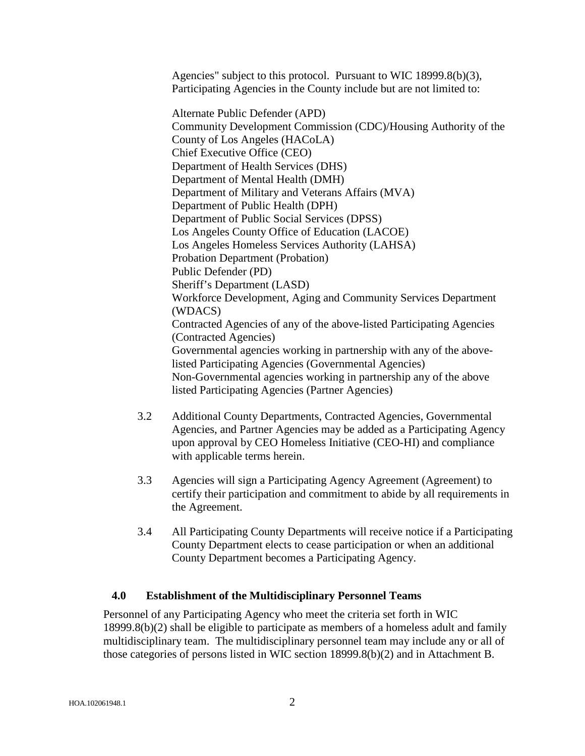Agencies" subject to this protocol. Pursuant to WIC 18999.8(b)(3), Participating Agencies in the County include but are not limited to:

Alternate Public Defender (APD) Community Development Commission (CDC)/Housing Authority of the County of Los Angeles (HACoLA) Chief Executive Office (CEO) Department of Health Services (DHS) Department of Mental Health (DMH) Department of Military and Veterans Affairs (MVA) Department of Public Health (DPH) Department of Public Social Services (DPSS) Los Angeles County Office of Education (LACOE) Los Angeles Homeless Services Authority (LAHSA) Probation Department (Probation) Public Defender (PD) Sheriff's Department (LASD) Workforce Development, Aging and Community Services Department (WDACS) Contracted Agencies of any of the above-listed Participating Agencies (Contracted Agencies) Governmental agencies working in partnership with any of the abovelisted Participating Agencies (Governmental Agencies) Non-Governmental agencies working in partnership any of the above listed Participating Agencies (Partner Agencies)

- 3.2 Additional County Departments, Contracted Agencies, Governmental Agencies, and Partner Agencies may be added as a Participating Agency upon approval by CEO Homeless Initiative (CEO-HI) and compliance with applicable terms herein.
- 3.3 Agencies will sign a Participating Agency Agreement (Agreement) to certify their participation and commitment to abide by all requirements in the Agreement.
- 3.4 All Participating County Departments will receive notice if a Participating County Department elects to cease participation or when an additional County Department becomes a Participating Agency.

## **4.0 Establishment of the Multidisciplinary Personnel Teams**

Personnel of any Participating Agency who meet the criteria set forth in WIC 18999.8(b)(2) shall be eligible to participate as members of a homeless adult and family multidisciplinary team. The multidisciplinary personnel team may include any or all of those categories of persons listed in WIC section 18999.8(b)(2) and in Attachment B.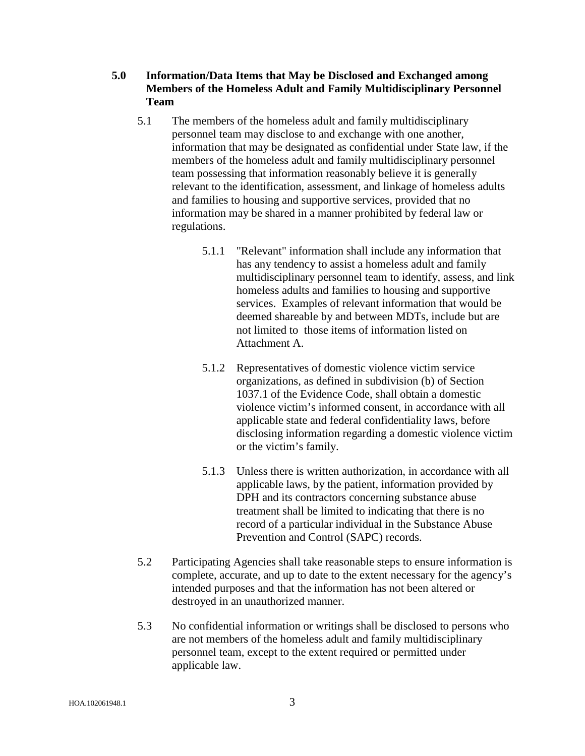**5.0 Information/Data Items that May be Disclosed and Exchanged among Members of the Homeless Adult and Family Multidisciplinary Personnel Team**

- 5.1 The members of the homeless adult and family multidisciplinary personnel team may disclose to and exchange with one another, information that may be designated as confidential under State law, if the members of the homeless adult and family multidisciplinary personnel team possessing that information reasonably believe it is generally relevant to the identification, assessment, and linkage of homeless adults and families to housing and supportive services, provided that no information may be shared in a manner prohibited by federal law or regulations.
	- 5.1.1 "Relevant" information shall include any information that has any tendency to assist a homeless adult and family multidisciplinary personnel team to identify, assess, and link homeless adults and families to housing and supportive services. Examples of relevant information that would be deemed shareable by and between MDTs, include but are not limited to those items of information listed on Attachment A.
	- 5.1.2 Representatives of domestic violence victim service organizations, as defined in subdivision (b) of Section 1037.1 of the Evidence Code, shall obtain a domestic violence victim's informed consent, in accordance with all applicable state and federal confidentiality laws, before disclosing information regarding a domestic violence victim or the victim's family.
	- 5.1.3 Unless there is written authorization, in accordance with all applicable laws, by the patient, information provided by DPH and its contractors concerning substance abuse treatment shall be limited to indicating that there is no record of a particular individual in the Substance Abuse Prevention and Control (SAPC) records.
- 5.2 Participating Agencies shall take reasonable steps to ensure information is complete, accurate, and up to date to the extent necessary for the agency's intended purposes and that the information has not been altered or destroyed in an unauthorized manner.
- 5.3 No confidential information or writings shall be disclosed to persons who are not members of the homeless adult and family multidisciplinary personnel team, except to the extent required or permitted under applicable law.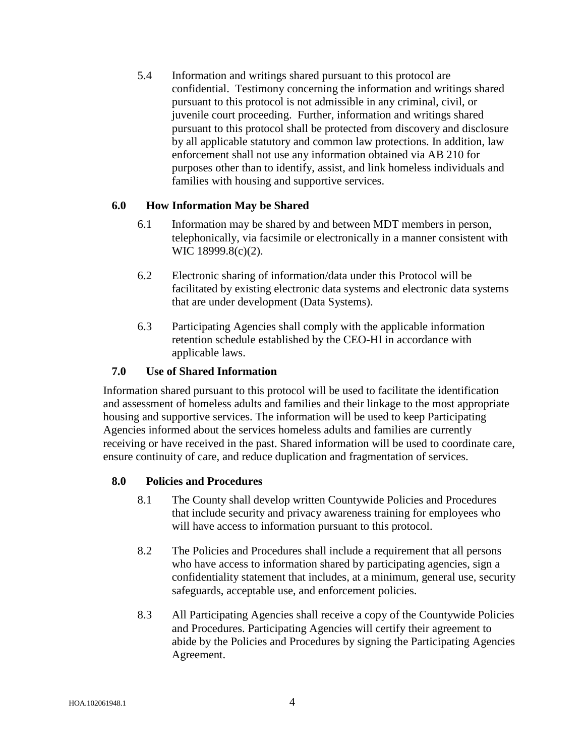5.4 Information and writings shared pursuant to this protocol are confidential. Testimony concerning the information and writings shared pursuant to this protocol is not admissible in any criminal, civil, or juvenile court proceeding. Further, information and writings shared pursuant to this protocol shall be protected from discovery and disclosure by all applicable statutory and common law protections. In addition, law enforcement shall not use any information obtained via AB 210 for purposes other than to identify, assist, and link homeless individuals and families with housing and supportive services.

## **6.0 How Information May be Shared**

- 6.1 Information may be shared by and between MDT members in person, telephonically, via facsimile or electronically in a manner consistent with WIC 18999.8(c)(2).
- 6.2 Electronic sharing of information/data under this Protocol will be facilitated by existing electronic data systems and electronic data systems that are under development (Data Systems).
- 6.3 Participating Agencies shall comply with the applicable information retention schedule established by the CEO-HI in accordance with applicable laws.

### **7.0 Use of Shared Information**

Information shared pursuant to this protocol will be used to facilitate the identification and assessment of homeless adults and families and their linkage to the most appropriate housing and supportive services. The information will be used to keep Participating Agencies informed about the services homeless adults and families are currently receiving or have received in the past. Shared information will be used to coordinate care, ensure continuity of care, and reduce duplication and fragmentation of services.

#### **8.0 Policies and Procedures**

- 8.1 The County shall develop written Countywide Policies and Procedures that include security and privacy awareness training for employees who will have access to information pursuant to this protocol.
- 8.2 The Policies and Procedures shall include a requirement that all persons who have access to information shared by participating agencies, sign a confidentiality statement that includes, at a minimum, general use, security safeguards, acceptable use, and enforcement policies.
- 8.3 All Participating Agencies shall receive a copy of the Countywide Policies and Procedures. Participating Agencies will certify their agreement to abide by the Policies and Procedures by signing the Participating Agencies Agreement.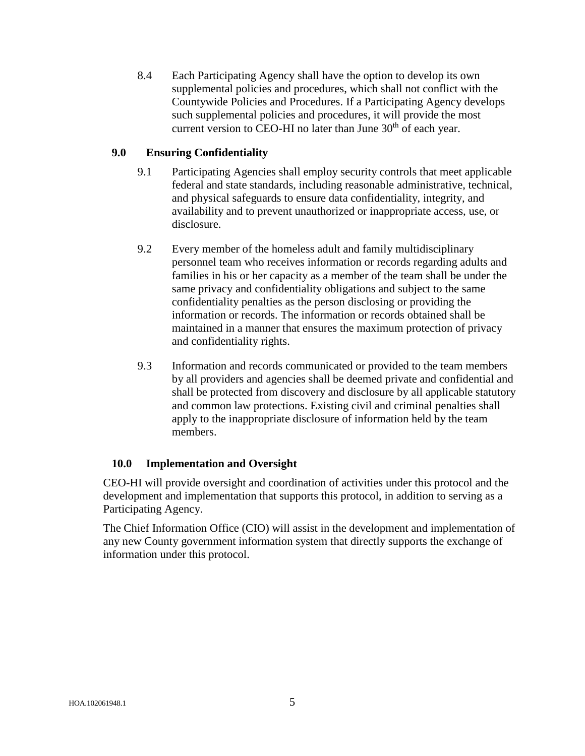8.4 Each Participating Agency shall have the option to develop its own supplemental policies and procedures, which shall not conflict with the Countywide Policies and Procedures. If a Participating Agency develops such supplemental policies and procedures, it will provide the most current version to CEO-HI no later than June  $30<sup>th</sup>$  of each year.

## **9.0 Ensuring Confidentiality**

- 9.1 Participating Agencies shall employ security controls that meet applicable federal and state standards, including reasonable administrative, technical, and physical safeguards to ensure data confidentiality, integrity, and availability and to prevent unauthorized or inappropriate access, use, or disclosure.
- 9.2 Every member of the homeless adult and family multidisciplinary personnel team who receives information or records regarding adults and families in his or her capacity as a member of the team shall be under the same privacy and confidentiality obligations and subject to the same confidentiality penalties as the person disclosing or providing the information or records. The information or records obtained shall be maintained in a manner that ensures the maximum protection of privacy and confidentiality rights.
- 9.3 Information and records communicated or provided to the team members by all providers and agencies shall be deemed private and confidential and shall be protected from discovery and disclosure by all applicable statutory and common law protections. Existing civil and criminal penalties shall apply to the inappropriate disclosure of information held by the team members.

## **10.0 Implementation and Oversight**

CEO-HI will provide oversight and coordination of activities under this protocol and the development and implementation that supports this protocol, in addition to serving as a Participating Agency.

The Chief Information Office (CIO) will assist in the development and implementation of any new County government information system that directly supports the exchange of information under this protocol.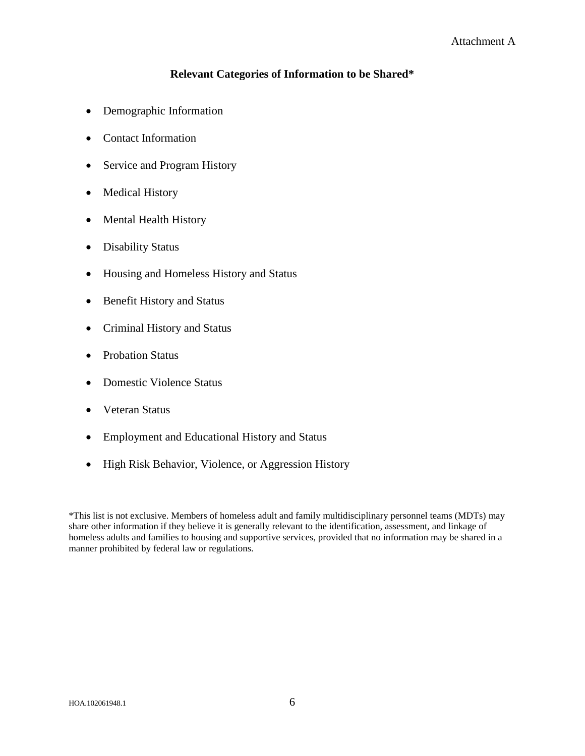## **Relevant Categories of Information to be Shared\***

- Demographic Information
- Contact Information
- Service and Program History
- Medical History
- Mental Health History
- Disability Status
- Housing and Homeless History and Status
- Benefit History and Status
- Criminal History and Status
- Probation Status
- Domestic Violence Status
- Veteran Status
- Employment and Educational History and Status
- High Risk Behavior, Violence, or Aggression History

\*This list is not exclusive. Members of homeless adult and family multidisciplinary personnel teams (MDTs) may share other information if they believe it is generally relevant to the identification, assessment, and linkage of homeless adults and families to housing and supportive services, provided that no information may be shared in a manner prohibited by federal law or regulations.